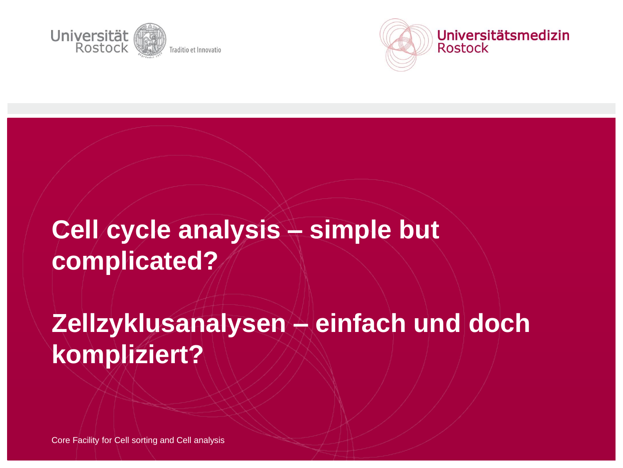



# **Cell cycle analysis – simple but complicated?**

# **Zellzyklusanalysen – einfach und doch kompliziert?**

Core Facility for Cell sorting and Cell analysis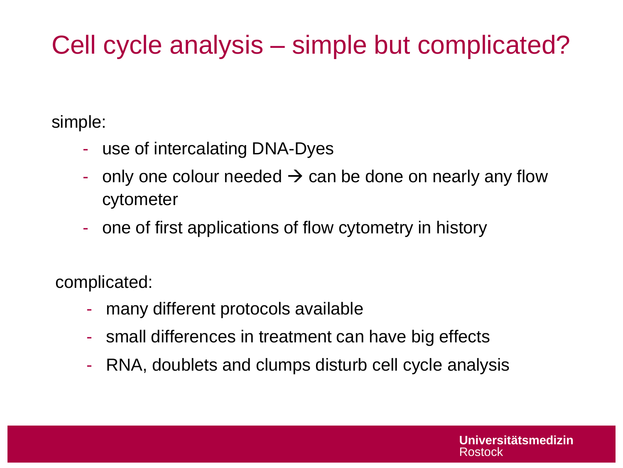# Cell cycle analysis – simple but complicated?

simple:

- use of intercalating DNA-Dyes
- only one colour needed  $\rightarrow$  can be done on nearly any flow cytometer
- one of first applications of flow cytometry in history

complicated:

- many different protocols available
- small differences in treatment can have big effects
- RNA, doublets and clumps disturb cell cycle analysis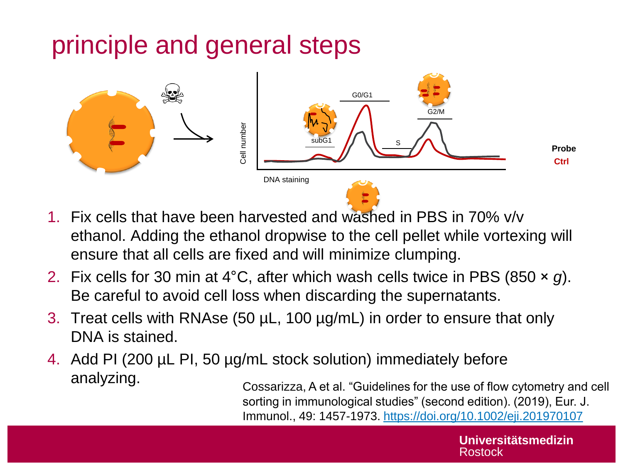# principle and general steps



- 1. Fix cells that have been harvested and washed in PBS in 70% v/v ethanol. Adding the ethanol dropwise to the cell pellet while vortexing will ensure that all cells are fixed and will minimize clumping.
- 2. Fix cells for 30 min at 4°C, after which wash cells twice in PBS (850 × *g*). Be careful to avoid cell loss when discarding the supernatants.
- 3. Treat cells with RNAse (50 µL, 100 µg/mL) in order to ensure that only DNA is stained.
- 4. Add PI (200 µL PI, 50 µg/mL stock solution) immediately before analyzing.

Cossarizza, A et al. "Guidelines for the use of flow cytometry and cell sorting in immunological studies" (second edition). (2019), Eur. J. Immunol., 49: 1457-1973.<https://doi.org/10.1002/eji.201970107>

> **Universitätsmedizin**  Rostock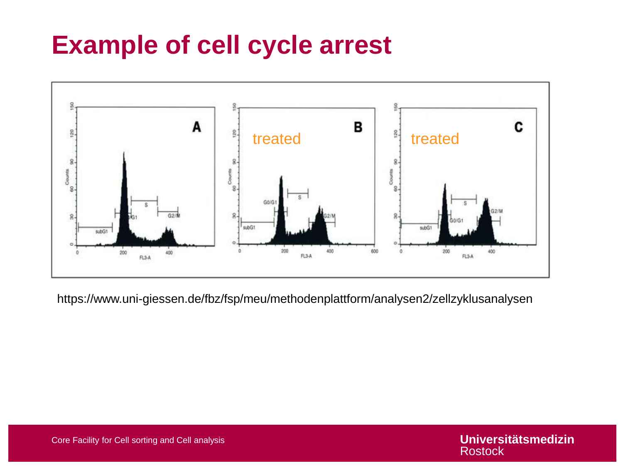# **Example of cell cycle arrest**



https://www.uni-giessen.de/fbz/fsp/meu/methodenplattform/analysen2/zellzyklusanalysen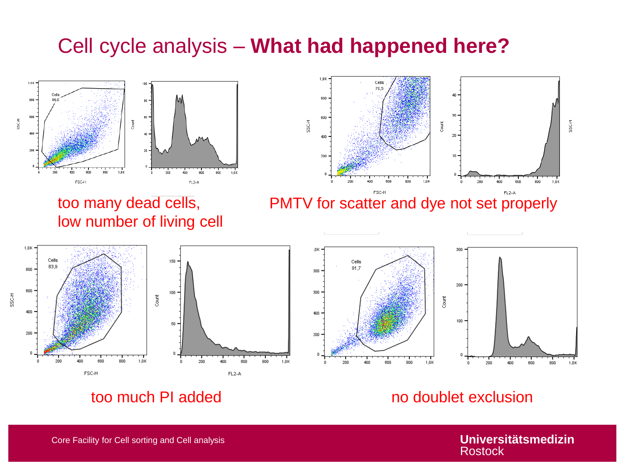#### Cell cycle analysis – **What had happened here?**







PMTV for scatter and dye not set properly





#### too much PI added no boostoo no doublet exclusion

**Universitätsmedizin**  Rostock

Core Facility for Cell sorting and Cell analysis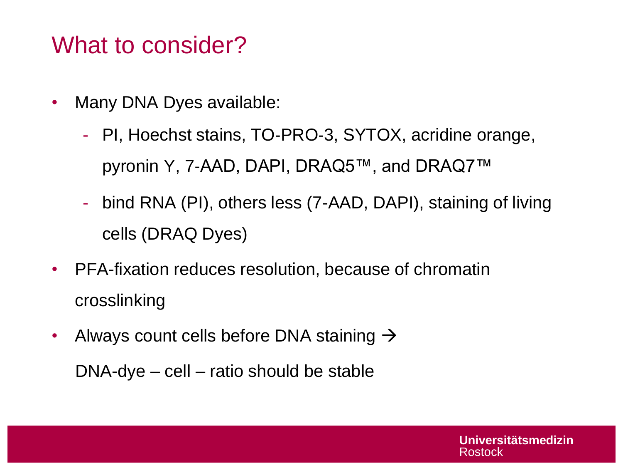## What to consider?

- Many DNA Dyes available:
	- PI, Hoechst stains, TO‐PRO‐3, SYTOX, acridine orange, pyronin Y, 7‐AAD, DAPI, DRAQ5™, and DRAQ7™
	- bind RNA (PI), others less (7-AAD, DAPI), staining of living cells (DRAQ Dyes)
- PFA-fixation reduces resolution, because of chromatin crosslinking
- Always count cells before DNA staining  $\rightarrow$

DNA-dye – cell – ratio should be stable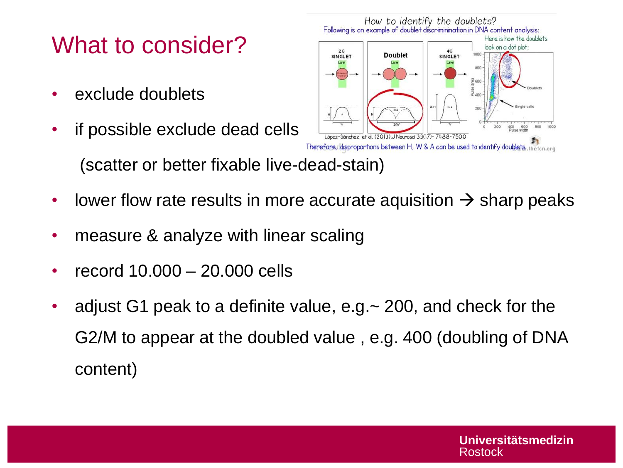# What to consider?

- exclude doublets
- if possible exclude dead cells (scatter or better fixable live-dead-stain)



**Doublet** 

How to identify the doublets?<br>Following is an example of doublet discriminination in DNA content analysis:

**SINGLET** 

• lower flow rate results in more accurate aquisition  $\rightarrow$  sharp peaks

 $2C$ 

**SINGLET** 

- measure & analyze with linear scaling
- record 10.000 20.000 cells
- adjust G1 peak to a definite value, e.g.~ 200, and check for the G2/M to appear at the doubled value , e.g. 400 (doubling of DNA content)

Here is how the doublets look on a dot plot: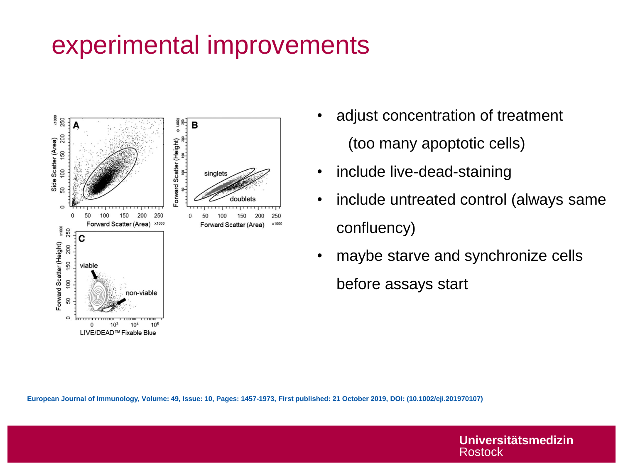# experimental improvements



- adjust concentration of treatment (too many apoptotic cells)
- include live-dead-staining
- include untreated control (always same confluency)
- maybe starve and synchronize cells before assays start

**European Journal of Immunology, Volume: 49, Issue: 10, Pages: 1457-1973, First published: 21 October 2019, DOI: (10.1002/eji.201970107)** 

**Universitätsmedizin Rostock**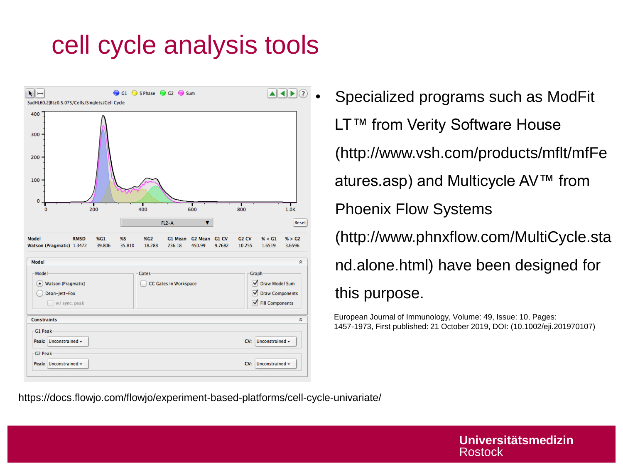# cell cycle analysis tools



**ELLO • Specialized programs such as ModFit** LT™ from Verity Software House (http://www.vsh.com/products/mflt/mfFe atures.asp) and Multicycle AV™ from Phoenix Flow Systems (http://www.phnxflow.com/MultiCycle.sta nd.alone.html) have been designed for this purpose.

> European Journal of Immunology, Volume: 49, Issue: 10, Pages: 1457-1973, First published: 21 October 2019, DOI: (10.1002/eji.201970107)

https://docs.flowjo.com/flowjo/experiment-based-platforms/cell-cycle-univariate/

**Universitätsmedizin Rostock**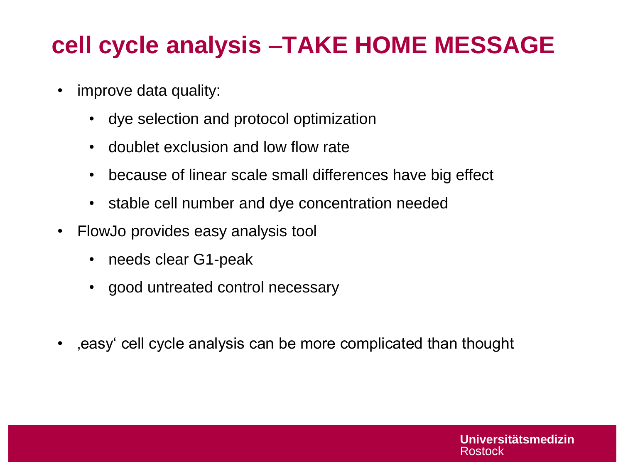# **cell cycle analysis** –**TAKE HOME MESSAGE**

- improve data quality:
	- dye selection and protocol optimization
	- doublet exclusion and low flow rate
	- because of linear scale small differences have big effect
	- stable cell number and dye concentration needed
- FlowJo provides easy analysis tool
	- needs clear G1-peak
	- good untreated control necessary
- , easy cell cycle analysis can be more complicated than thought